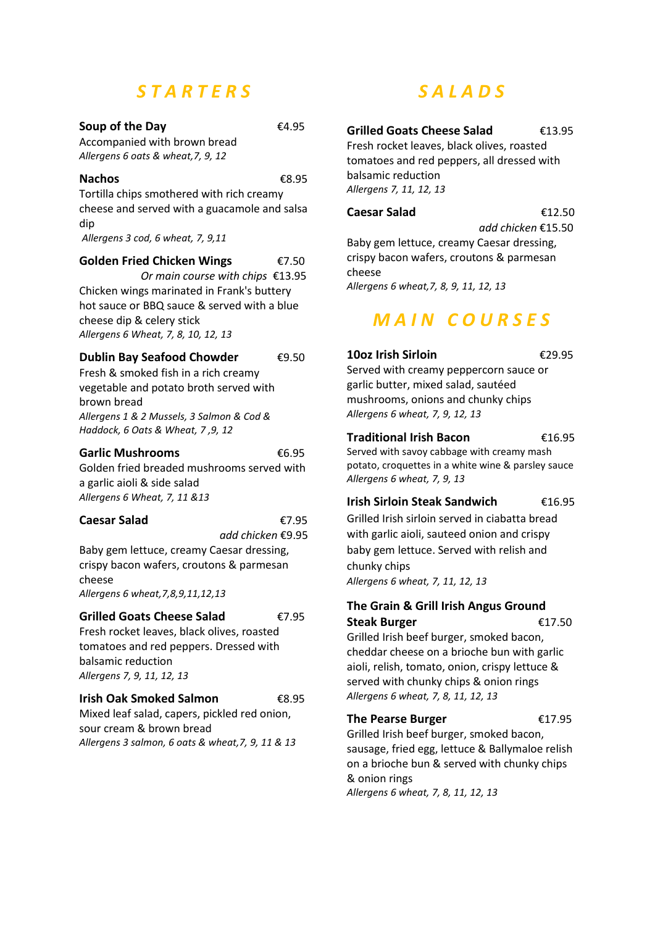# *S T A R T E R S*

#### **Soup of the Day €4.95**

Accompanied with brown bread *Allergens 6 oats & wheat,7, 9, 12*

#### **Nachos** €8.95

Tortilla chips smothered with rich creamy cheese and served with a guacamole and salsa dip

*Allergens 3 cod, 6 wheat, 7, 9,11*

#### **Golden Fried Chicken Wings** €7.50

 *Or main course with chips* €13.95 Chicken wings marinated in Frank's buttery hot sauce or BBQ sauce & served with a blue cheese dip & celery stick *Allergens 6 Wheat, 7, 8, 10, 12, 13*

#### **Dublin Bay Seafood Chowder €9.50**

Fresh & smoked fish in a rich creamy vegetable and potato broth served with brown bread *Allergens 1 & 2 Mussels, 3 Salmon & Cod & Haddock, 6 Oats & Wheat, 7 ,9, 12*

#### **Garlic Mushrooms** €6.95

Golden fried breaded mushrooms served with a garlic aioli & side salad *Allergens 6 Wheat, 7, 11 &13*

#### **Caesar Salad** €7.95

*add chicken* €9.95

Baby gem lettuce, creamy Caesar dressing, crispy bacon wafers, croutons & parmesan cheese *Allergens 6 wheat,7,8,9,11,12,13*

## **Grilled Goats Cheese Salad** €7.95

Fresh rocket leaves, black olives, roasted tomatoes and red peppers. Dressed with balsamic reduction *Allergens 7, 9, 11, 12, 13*

#### **Irish Oak Smoked Salmon** €8.95

Mixed leaf salad, capers, pickled red onion, sour cream & brown bread *Allergens 3 salmon, 6 oats & wheat,7, 9, 11 & 13*

# *S A L A D S*

### **Grilled Goats Cheese Salad** €13.95

Fresh rocket leaves, black olives, roasted tomatoes and red peppers, all dressed with balsamic reduction *Allergens 7, 11, 12, 13*

## **Caesar Salad** €12.50

 *add chicken* €15.50 Baby gem lettuce, creamy Caesar dressing, crispy bacon wafers, croutons & parmesan cheese

*Allergens 6 wheat,7, 8, 9, 11, 12, 13*

# *M A I N C O U R S E S*

#### **10oz Irish Sirloin** €29.95

Served with creamy peppercorn sauce or garlic butter, mixed salad, sautéed mushrooms, onions and chunky chips *Allergens 6 wheat, 7, 9, 12, 13*

#### **Traditional Irish Bacon** €16.95

Served with savoy cabbage with creamy mash potato, croquettes in a white wine & parsley sauce *Allergens 6 wheat, 7, 9, 13*

#### **Irish Sirloin Steak Sandwich** €16.95

Grilled Irish sirloin served in ciabatta bread with garlic aioli, sauteed onion and crispy baby gem lettuce. Served with relish and chunky chips *Allergens 6 wheat, 7, 11, 12, 13*

#### **The Grain & Grill Irish Angus Ground Steak Burger** €17.50

Grilled Irish beef burger, smoked bacon, cheddar cheese on a brioche bun with garlic aioli, relish, tomato, onion, crispy lettuce & served with chunky chips & onion rings *Allergens 6 wheat, 7, 8, 11, 12, 13*

#### **The Pearse Burger** €17.95

Grilled Irish beef burger, smoked bacon, sausage, fried egg, lettuce & Ballymaloe relish on a brioche bun & served with chunky chips & onion rings *Allergens 6 wheat, 7, 8, 11, 12, 13*